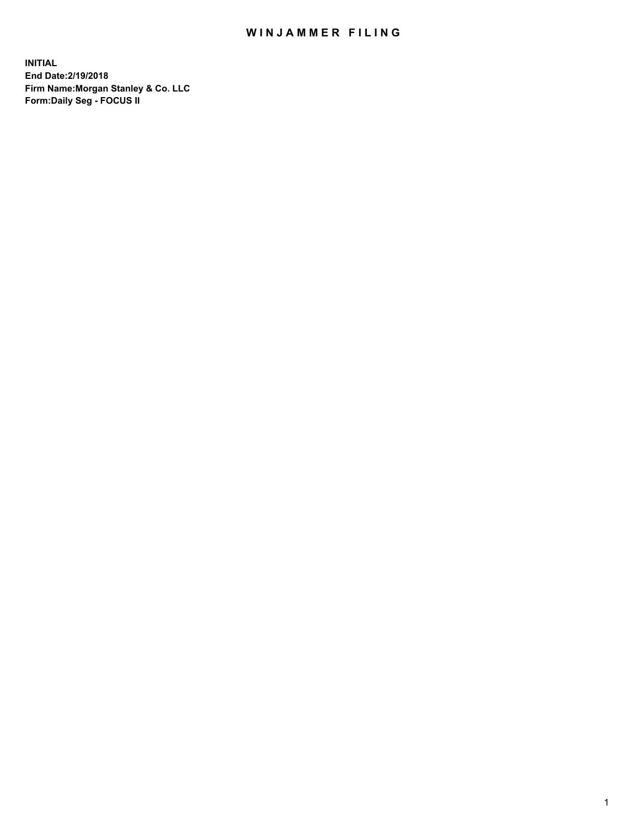### WIN JAMMER FILING

**INITIAL End Date:2/19/2018 Firm Name:Morgan Stanley & Co. LLC Form:Daily Seg - FOCUS II**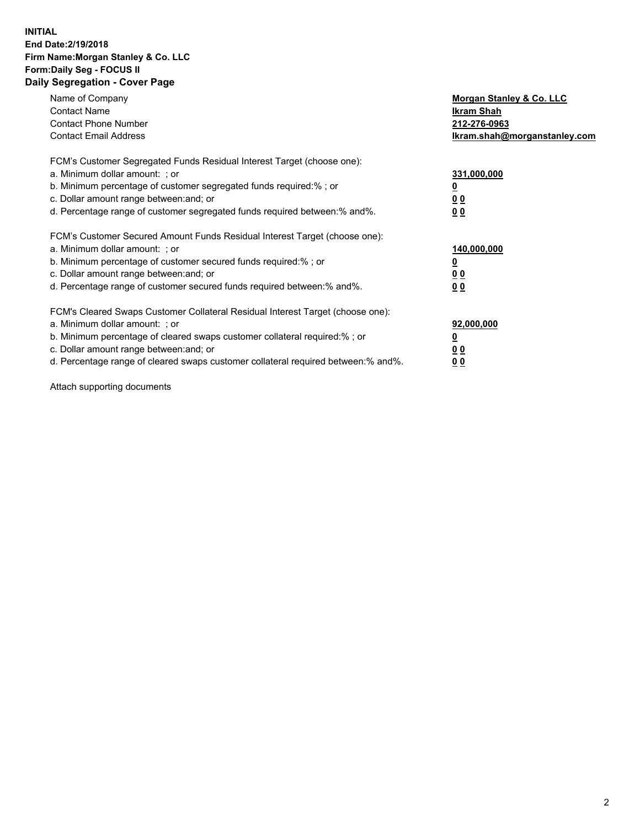#### **INITIAL End Date:2/19/2018 Firm Name:Morgan Stanley & Co. LLC Form:Daily Seg - FOCUS II Daily Segregation - Cover Page**

| Name of Company                                                                   | Morgan Stanley & Co. LLC     |
|-----------------------------------------------------------------------------------|------------------------------|
| <b>Contact Name</b>                                                               | Ikram Shah                   |
| <b>Contact Phone Number</b>                                                       | 212-276-0963                 |
| <b>Contact Email Address</b>                                                      | lkram.shah@morganstanley.com |
| FCM's Customer Segregated Funds Residual Interest Target (choose one):            |                              |
| a. Minimum dollar amount: ; or                                                    | 331,000,000                  |
| b. Minimum percentage of customer segregated funds required:%; or                 |                              |
| c. Dollar amount range between: and; or                                           | 00                           |
| d. Percentage range of customer segregated funds required between: % and %.       | 0 <sub>0</sub>               |
|                                                                                   |                              |
| FCM's Customer Secured Amount Funds Residual Interest Target (choose one):        |                              |
| a. Minimum dollar amount: ; or                                                    | 140,000,000                  |
| b. Minimum percentage of customer secured funds required:%; or                    |                              |
| c. Dollar amount range between: and; or                                           | 00                           |
| d. Percentage range of customer secured funds required between: % and %.          | 0 <sub>0</sub>               |
|                                                                                   |                              |
| FCM's Cleared Swaps Customer Collateral Residual Interest Target (choose one):    |                              |
| a. Minimum dollar amount: ; or                                                    | 92,000,000                   |
| b. Minimum percentage of cleared swaps customer collateral required:% ; or        | <u>0</u>                     |
| c. Dollar amount range between: and; or                                           | <u>00</u>                    |
| d. Percentage range of cleared swaps customer collateral required between:% and%. | 00                           |

Attach supporting documents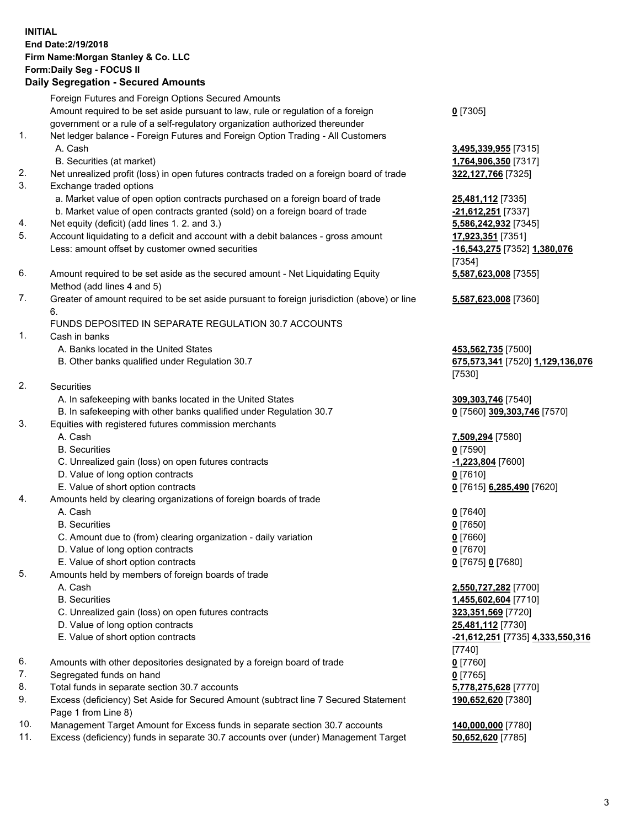## **INITIAL End Date:2/19/2018 Firm Name:Morgan Stanley & Co. LLC Form:Daily Seg - FOCUS II**

### **Daily Segregation - Secured Amounts**

|                | Dany Ocgi cyation - Occurea Aniounts                                                                       |                                  |
|----------------|------------------------------------------------------------------------------------------------------------|----------------------------------|
|                | Foreign Futures and Foreign Options Secured Amounts                                                        |                                  |
|                | Amount required to be set aside pursuant to law, rule or regulation of a foreign                           | $0$ [7305]                       |
|                | government or a rule of a self-regulatory organization authorized thereunder                               |                                  |
| 1.             | Net ledger balance - Foreign Futures and Foreign Option Trading - All Customers                            |                                  |
|                | A. Cash                                                                                                    | 3,495,339,955 [7315]             |
|                | B. Securities (at market)                                                                                  | 1,764,906,350 [7317]             |
| 2.             | Net unrealized profit (loss) in open futures contracts traded on a foreign board of trade                  | 322,127,766 [7325]               |
| 3.             | Exchange traded options                                                                                    |                                  |
|                | a. Market value of open option contracts purchased on a foreign board of trade                             | 25,481,112 [7335]                |
|                | b. Market value of open contracts granted (sold) on a foreign board of trade                               | -21,612,251 [7337]               |
| 4.             | Net equity (deficit) (add lines 1.2. and 3.)                                                               | 5,586,242,932 [7345]             |
| 5.             | Account liquidating to a deficit and account with a debit balances - gross amount                          | 17,923,351 [7351]                |
|                | Less: amount offset by customer owned securities                                                           | -16,543,275 [7352] 1,380,076     |
|                |                                                                                                            | [7354]                           |
| 6.             | Amount required to be set aside as the secured amount - Net Liquidating Equity                             | 5,587,623,008 [7355]             |
|                | Method (add lines 4 and 5)                                                                                 |                                  |
| 7.             | Greater of amount required to be set aside pursuant to foreign jurisdiction (above) or line                | 5,587,623,008 [7360]             |
|                | 6.                                                                                                         |                                  |
|                | FUNDS DEPOSITED IN SEPARATE REGULATION 30.7 ACCOUNTS                                                       |                                  |
| $\mathbf{1}$ . | Cash in banks                                                                                              |                                  |
|                | A. Banks located in the United States                                                                      | 453,562,735 [7500]               |
|                | B. Other banks qualified under Regulation 30.7                                                             | 675,573,341 [7520] 1,129,136,076 |
|                |                                                                                                            | [7530]                           |
| 2.             | Securities                                                                                                 |                                  |
|                | A. In safekeeping with banks located in the United States                                                  | 309, 303, 746 [7540]             |
|                | B. In safekeeping with other banks qualified under Regulation 30.7                                         | 0 [7560] 309,303,746 [7570]      |
| 3.             | Equities with registered futures commission merchants                                                      |                                  |
|                | A. Cash                                                                                                    | 7,509,294 [7580]                 |
|                | <b>B.</b> Securities                                                                                       | $0$ [7590]                       |
|                | C. Unrealized gain (loss) on open futures contracts                                                        | $-1,223,804$ [7600]              |
|                | D. Value of long option contracts                                                                          | $0$ [7610]                       |
|                | E. Value of short option contracts                                                                         | 0 [7615] 6,285,490 [7620]        |
| 4.             | Amounts held by clearing organizations of foreign boards of trade                                          |                                  |
|                | A. Cash                                                                                                    | $0$ [7640]                       |
|                | <b>B.</b> Securities                                                                                       | $0$ [7650]                       |
|                | C. Amount due to (from) clearing organization - daily variation                                            | $0$ [7660]                       |
|                | D. Value of long option contracts                                                                          | 0 [7670]                         |
|                | E. Value of short option contracts                                                                         | 0 [7675] 0 [7680]                |
| 5.             | Amounts held by members of foreign boards of trade                                                         |                                  |
|                | A. Cash                                                                                                    | 2,550,727,282 [7700]             |
|                | <b>B.</b> Securities                                                                                       | 1,455,602,604 [7710]             |
|                | C. Unrealized gain (loss) on open futures contracts                                                        | 323,351,569 [7720]               |
|                | D. Value of long option contracts                                                                          | <b>25,481,112</b> [7730]         |
|                | E. Value of short option contracts                                                                         | -21,612,251 [7735] 4,333,550,316 |
|                |                                                                                                            | [7740]                           |
| 6.             | Amounts with other depositories designated by a foreign board of trade                                     | $0$ [7760]                       |
| 7.             | Segregated funds on hand                                                                                   | $0$ [7765]                       |
| 8.             | Total funds in separate section 30.7 accounts                                                              | 5,778,275,628 [7770]             |
| 9.             | Excess (deficiency) Set Aside for Secured Amount (subtract line 7 Secured Statement<br>Page 1 from Line 8) | 190,652,620 [7380]               |
| 10.            | Management Target Amount for Excess funds in separate section 30.7 accounts                                | 140,000,000 [7780]               |
| 11.            | Excess (deficiency) funds in separate 30.7 accounts over (under) Management Target                         | 50,652,620 [7785]                |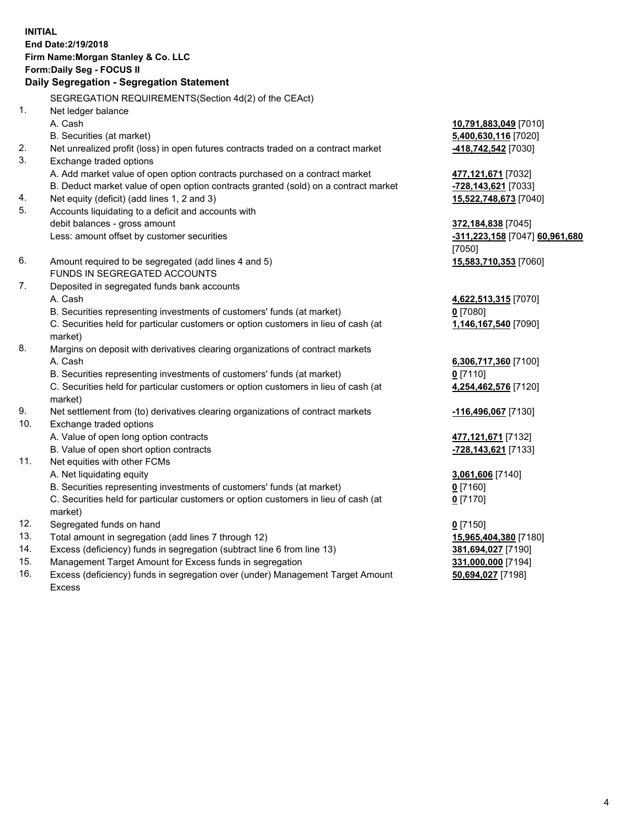## **INITIAL End Date:2/19/2018 Firm Name:Morgan Stanley & Co. LLC Form:Daily Seg - FOCUS II**

# **Daily Segregation - Segregation Statement**

|     | SEGREGATION REQUIREMENTS(Section 4d(2) of the CEAct)                                           |                                          |
|-----|------------------------------------------------------------------------------------------------|------------------------------------------|
| 1.  | Net ledger balance                                                                             |                                          |
|     | A. Cash                                                                                        | 10,791,883,049 [7010]                    |
|     | B. Securities (at market)                                                                      | 5,400,630,116 [7020]                     |
| 2.  | Net unrealized profit (loss) in open futures contracts traded on a contract market             | 418,742,542 [7030]                       |
| 3.  | Exchange traded options                                                                        |                                          |
|     | A. Add market value of open option contracts purchased on a contract market                    | 477, 121, 671 [7032]                     |
|     | B. Deduct market value of open option contracts granted (sold) on a contract market            | -728,143,621 [7033]                      |
| 4.  | Net equity (deficit) (add lines 1, 2 and 3)                                                    | 15,522,748,673 [7040]                    |
| 5.  | Accounts liquidating to a deficit and accounts with                                            |                                          |
|     | debit balances - gross amount                                                                  | 372,184,838 [7045]                       |
|     | Less: amount offset by customer securities                                                     | -311,223,158 [7047] 60,961,680<br>[7050] |
| 6.  | Amount required to be segregated (add lines 4 and 5)                                           | 15,583,710,353 [7060]                    |
|     | FUNDS IN SEGREGATED ACCOUNTS                                                                   |                                          |
| 7.  | Deposited in segregated funds bank accounts                                                    |                                          |
|     | A. Cash                                                                                        | 4,622,513,315 [7070]                     |
|     | B. Securities representing investments of customers' funds (at market)                         | $0$ [7080]                               |
|     | C. Securities held for particular customers or option customers in lieu of cash (at            | 1,146,167,540 [7090]                     |
|     | market)                                                                                        |                                          |
| 8.  | Margins on deposit with derivatives clearing organizations of contract markets                 |                                          |
|     | A. Cash                                                                                        | 6,306,717,360 [7100]                     |
|     | B. Securities representing investments of customers' funds (at market)                         | $0$ [7110]                               |
|     | C. Securities held for particular customers or option customers in lieu of cash (at<br>market) | 4,254,462,576 [7120]                     |
| 9.  | Net settlement from (to) derivatives clearing organizations of contract markets                | -116,496,067 [7130]                      |
| 10. | Exchange traded options                                                                        |                                          |
|     | A. Value of open long option contracts                                                         | 477,121,671 [7132]                       |
|     | B. Value of open short option contracts                                                        | -728,143,621 [7133]                      |
| 11. | Net equities with other FCMs                                                                   |                                          |
|     | A. Net liquidating equity                                                                      | 3,061,606 [7140]                         |
|     | B. Securities representing investments of customers' funds (at market)                         | $0$ [7160]                               |
|     | C. Securities held for particular customers or option customers in lieu of cash (at<br>market) | $0$ [7170]                               |
| 12. | Segregated funds on hand                                                                       | $0$ [7150]                               |
| 13. | Total amount in segregation (add lines 7 through 12)                                           | 15,965,404,380 [7180]                    |
| 14. | Excess (deficiency) funds in segregation (subtract line 6 from line 13)                        | 381,694,027 [7190]                       |
| 15. | Management Target Amount for Excess funds in segregation                                       | 331,000,000 [7194]                       |
| 16. | Excess (deficiency) funds in segregation over (under) Management Target Amount                 | 50,694,027 [7198]                        |

16. Excess (deficiency) funds in segregation over (under) Management Target Amount Excess